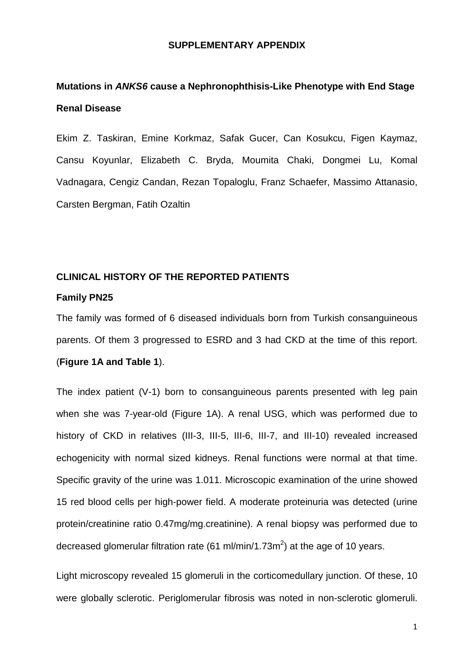#### **SUPPLEMENTARY APPENDIX**

# **Mutations in** *ANKS6* **cause a Nephronophthisis-Like Phenotype with End Stage Renal Disease**

Ekim Z. Taskiran, Emine Korkmaz, Safak Gucer, Can Kosukcu, Figen Kaymaz, Cansu Koyunlar, Elizabeth C. Bryda, Moumita Chaki, Dongmei Lu, Komal Vadnagara, Cengiz Candan, Rezan Topaloglu, Franz Schaefer, Massimo Attanasio, Carsten Bergman, Fatih Ozaltin

# **CLINICAL HISTORY OF THE REPORTED PATIENTS**

#### **Family PN25**

The family was formed of 6 diseased individuals born from Turkish consanguineous parents. Of them 3 progressed to ESRD and 3 had CKD at the time of this report. (**Figure 1A and Table 1**).

The index patient (V-1) born to consanguineous parents presented with leg pain when she was 7-year-old (Figure 1A). A renal USG, which was performed due to history of CKD in relatives (III-3, III-5, III-6, III-7, and III-10) revealed increased echogenicity with normal sized kidneys. Renal functions were normal at that time. Specific gravity of the urine was 1.011. Microscopic examination of the urine showed 15 red blood cells per high-power field. A moderate proteinuria was detected (urine protein/creatinine ratio 0.47mg/mg.creatinine). A renal biopsy was performed due to decreased glomerular filtration rate (61 ml/min/1.73m<sup>2</sup>) at the age of 10 years.

Light microscopy revealed 15 glomeruli in the corticomedullary junction. Of these, 10 were globally sclerotic. Periglomerular fibrosis was noted in non-sclerotic glomeruli.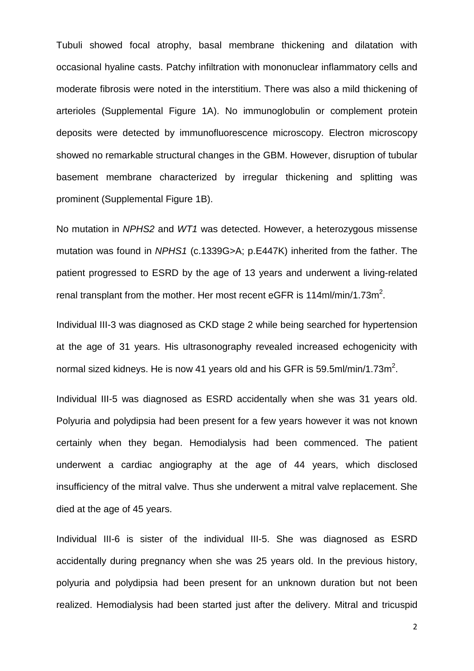Tubuli showed focal atrophy, basal membrane thickening and dilatation with occasional hyaline casts. Patchy infiltration with mononuclear inflammatory cells and moderate fibrosis were noted in the interstitium. There was also a mild thickening of arterioles (Supplemental Figure 1A). No immunoglobulin or complement protein deposits were detected by immunofluorescence microscopy. Electron microscopy showed no remarkable structural changes in the GBM. However, disruption of tubular basement membrane characterized by irregular thickening and splitting was prominent (Supplemental Figure 1B).

No mutation in *NPHS2* and *WT1* was detected. However, a heterozygous missense mutation was found in *NPHS1* (c.1339G>A; p.E447K) inherited from the father. The patient progressed to ESRD by the age of 13 years and underwent a living-related renal transplant from the mother. Her most recent eGFR is 114ml/min/1.73m<sup>2</sup>.

Individual III-3 was diagnosed as CKD stage 2 while being searched for hypertension at the age of 31 years. His ultrasonography revealed increased echogenicity with normal sized kidneys. He is now 41 years old and his GFR is 59.5ml/min/1.73m<sup>2</sup>.

Individual III-5 was diagnosed as ESRD accidentally when she was 31 years old. Polyuria and polydipsia had been present for a few years however it was not known certainly when they began. Hemodialysis had been commenced. The patient underwent a cardiac angiography at the age of 44 years, which disclosed insufficiency of the mitral valve. Thus she underwent a mitral valve replacement. She died at the age of 45 years.

Individual III-6 is sister of the individual III-5. She was diagnosed as ESRD accidentally during pregnancy when she was 25 years old. In the previous history, polyuria and polydipsia had been present for an unknown duration but not been realized. Hemodialysis had been started just after the delivery. Mitral and tricuspid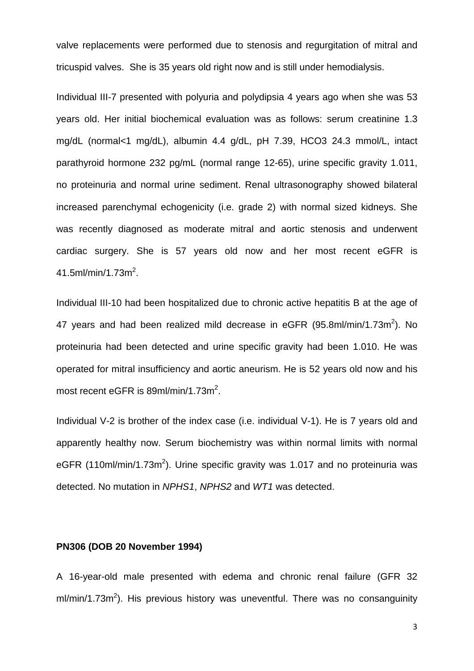valve replacements were performed due to stenosis and regurgitation of mitral and tricuspid valves. She is 35 years old right now and is still under hemodialysis.

Individual III-7 presented with polyuria and polydipsia 4 years ago when she was 53 years old. Her initial biochemical evaluation was as follows: serum creatinine 1.3 mg/dL (normal<1 mg/dL), albumin 4.4 g/dL, pH 7.39, HCO3 24.3 mmol/L, intact parathyroid hormone 232 pg/mL (normal range 12-65), urine specific gravity 1.011, no proteinuria and normal urine sediment. Renal ultrasonography showed bilateral increased parenchymal echogenicity (i.e. grade 2) with normal sized kidneys. She was recently diagnosed as moderate mitral and aortic stenosis and underwent cardiac surgery. She is 57 years old now and her most recent eGFR is  $41.5$ ml/min/1.73m<sup>2</sup>.

Individual III-10 had been hospitalized due to chronic active hepatitis B at the age of 47 years and had been realized mild decrease in eGFR (95.8ml/min/1.73m<sup>2</sup>). No proteinuria had been detected and urine specific gravity had been 1.010. He was operated for mitral insufficiency and aortic aneurism. He is 52 years old now and his most recent eGFR is  $89$ ml/min/1.73m<sup>2</sup>.

Individual V-2 is brother of the index case (i.e. individual V-1). He is 7 years old and apparently healthy now. Serum biochemistry was within normal limits with normal eGFR (110ml/min/1.73m<sup>2</sup>). Urine specific gravity was 1.017 and no proteinuria was detected. No mutation in *NPHS1*, *NPHS2* and *WT1* was detected.

#### **PN306 (DOB 20 November 1994)**

A 16-year-old male presented with edema and chronic renal failure (GFR 32 ml/min/1.73m<sup>2</sup>). His previous history was uneventful. There was no consanguinity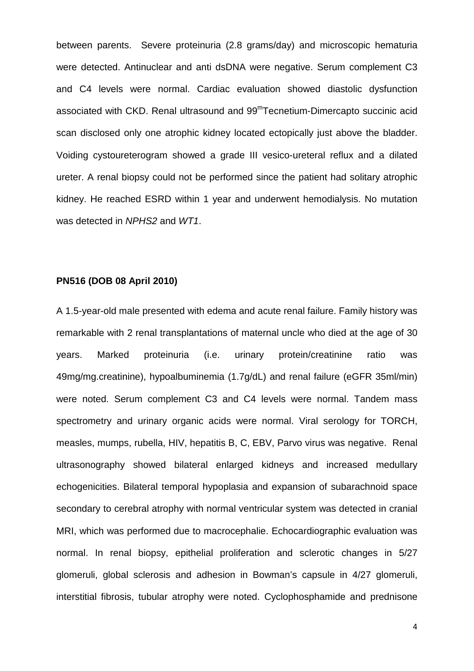between parents. Severe proteinuria (2.8 grams/day) and microscopic hematuria were detected. Antinuclear and anti dsDNA were negative. Serum complement C3 and C4 levels were normal. Cardiac evaluation showed diastolic dysfunction associated with CKD. Renal ultrasound and 99<sup>m</sup>Tecnetium-Dimercapto succinic acid scan disclosed only one atrophic kidney located ectopically just above the bladder. Voiding cystoureterogram showed a grade III vesico-ureteral reflux and a dilated ureter. A renal biopsy could not be performed since the patient had solitary atrophic kidney. He reached ESRD within 1 year and underwent hemodialysis. No mutation was detected in *NPHS2* and *WT1*.

# **PN516 (DOB 08 April 2010)**

A 1.5-year-old male presented with edema and acute renal failure. Family history was remarkable with 2 renal transplantations of maternal uncle who died at the age of 30 years. Marked proteinuria (i.e. urinary protein/creatinine ratio was 49mg/mg.creatinine), hypoalbuminemia (1.7g/dL) and renal failure (eGFR 35ml/min) were noted. Serum complement C3 and C4 levels were normal. Tandem mass spectrometry and urinary organic acids were normal. Viral serology for TORCH, measles, mumps, rubella, HIV, hepatitis B, C, EBV, Parvo virus was negative. Renal ultrasonography showed bilateral enlarged kidneys and increased medullary echogenicities. Bilateral temporal hypoplasia and expansion of subarachnoid space secondary to cerebral atrophy with normal ventricular system was detected in cranial MRI, which was performed due to macrocephalie. Echocardiographic evaluation was normal. In renal biopsy, epithelial proliferation and sclerotic changes in 5/27 glomeruli, global sclerosis and adhesion in Bowman's capsule in 4/27 glomeruli, interstitial fibrosis, tubular atrophy were noted. Cyclophosphamide and prednisone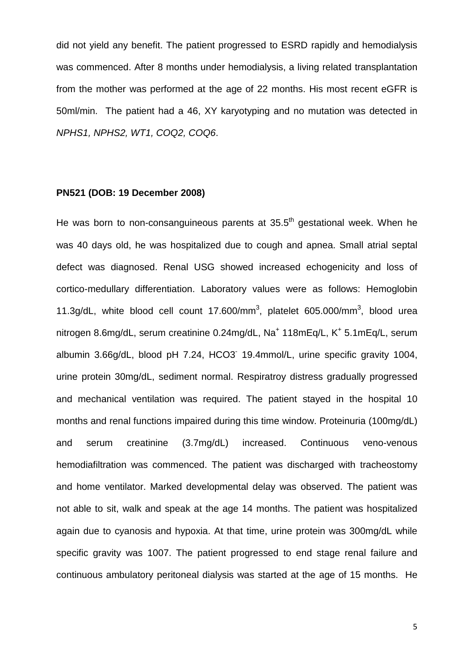did not yield any benefit. The patient progressed to ESRD rapidly and hemodialysis was commenced. After 8 months under hemodialysis, a living related transplantation from the mother was performed at the age of 22 months. His most recent eGFR is 50ml/min. The patient had a 46, XY karyotyping and no mutation was detected in *NPHS1, NPHS2, WT1, COQ2, COQ6*.

#### **PN521 (DOB: 19 December 2008)**

He was born to non-consanguineous parents at  $35.5<sup>th</sup>$  gestational week. When he was 40 days old, he was hospitalized due to cough and apnea. Small atrial septal defect was diagnosed. Renal USG showed increased echogenicity and loss of cortico-medullary differentiation. Laboratory values were as follows: Hemoglobin 11.3g/dL, white blood cell count  $17.600/\text{mm}^3$ , platelet 605.000/mm<sup>3</sup>, blood urea nitrogen 8.6mg/dL, serum creatinine 0.24mg/dL, Na<sup>+</sup> 118mEg/L, K<sup>+</sup> 5.1mEg/L, serum albumin 3.66g/dL, blood pH 7.24, HCO3- 19.4mmol/L, urine specific gravity 1004, urine protein 30mg/dL, sediment normal. Respiratroy distress gradually progressed and mechanical ventilation was required. The patient stayed in the hospital 10 months and renal functions impaired during this time window. Proteinuria (100mg/dL) and serum creatinine (3.7mg/dL) increased. Continuous veno-venous hemodiafiltration was commenced. The patient was discharged with tracheostomy and home ventilator. Marked developmental delay was observed. The patient was not able to sit, walk and speak at the age 14 months. The patient was hospitalized again due to cyanosis and hypoxia. At that time, urine protein was 300mg/dL while specific gravity was 1007. The patient progressed to end stage renal failure and continuous ambulatory peritoneal dialysis was started at the age of 15 months. He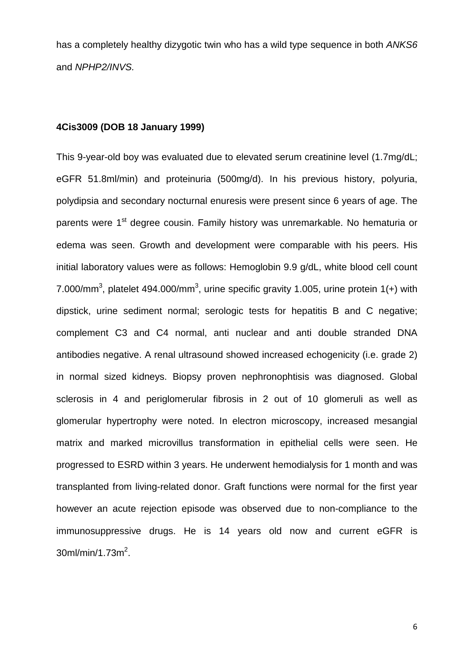has a completely healthy dizygotic twin who has a wild type sequence in both *ANKS6* and *NPHP2/INVS.*

### **4Cis3009 (DOB 18 January 1999)**

This 9-year-old boy was evaluated due to elevated serum creatinine level (1.7mg/dL; eGFR 51.8ml/min) and proteinuria (500mg/d). In his previous history, polyuria, polydipsia and secondary nocturnal enuresis were present since 6 years of age. The parents were 1<sup>st</sup> degree cousin. Family history was unremarkable. No hematuria or edema was seen. Growth and development were comparable with his peers. His initial laboratory values were as follows: Hemoglobin 9.9 g/dL, white blood cell count 7.000/mm<sup>3</sup>, platelet 494.000/mm<sup>3</sup>, urine specific gravity 1.005, urine protein 1(+) with dipstick, urine sediment normal; serologic tests for hepatitis B and C negative; complement C3 and C4 normal, anti nuclear and anti double stranded DNA antibodies negative. A renal ultrasound showed increased echogenicity (i.e. grade 2) in normal sized kidneys. Biopsy proven nephronophtisis was diagnosed. Global sclerosis in 4 and periglomerular fibrosis in 2 out of 10 glomeruli as well as glomerular hypertrophy were noted. In electron microscopy, increased mesangial matrix and marked microvillus transformation in epithelial cells were seen. He progressed to ESRD within 3 years. He underwent hemodialysis for 1 month and was transplanted from living-related donor. Graft functions were normal for the first year however an acute rejection episode was observed due to non-compliance to the immunosuppressive drugs. He is 14 years old now and current eGFR is  $30$ ml/min/1.73m<sup>2</sup>.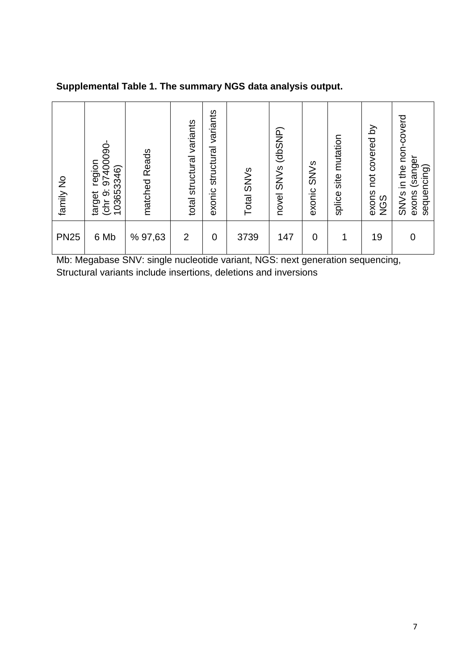| family No   | (chr 9: 97400090-<br>region<br>103653346)<br>target | matched Reads | variants<br>total structural | variants<br>structural<br>exonic | Total SNV <sub>S</sub> | novel SNVs (dbSNP) | exonic SNV <sub>S</sub> | splice site mutation | exons not covered by<br><b>NGS</b> | SNVs in the non-coverd<br>exons (sanger<br>sequencing) |
|-------------|-----------------------------------------------------|---------------|------------------------------|----------------------------------|------------------------|--------------------|-------------------------|----------------------|------------------------------------|--------------------------------------------------------|
| <b>PN25</b> | 6 Mb                                                | % 97,63       | $\overline{2}$               | $\overline{0}$                   | 3739                   | 147                | $\overline{0}$          |                      | 19                                 | $\Omega$                                               |

**Supplemental Table 1. The summary NGS data analysis output.**

Mb: Megabase SNV: single nucleotide variant, NGS: next generation sequencing, Structural variants include insertions, deletions and inversions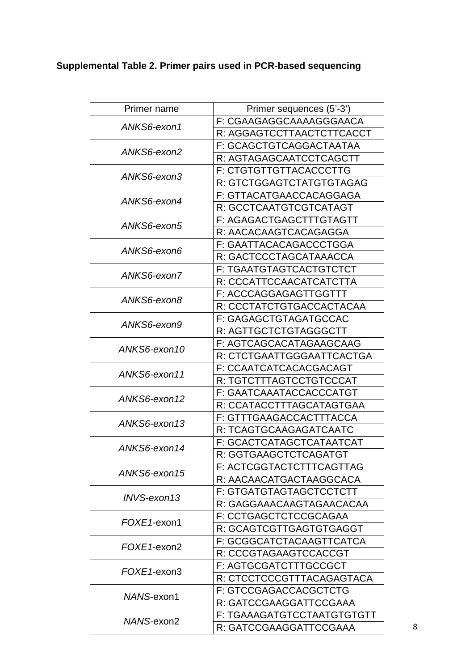# **Supplemental Table 2. Primer pairs used in PCR-based sequencing**

| Primer name  | Primer sequences (5'-3')       |  |  |  |  |
|--------------|--------------------------------|--|--|--|--|
|              | F: CGAAGAGGCAAAAGGGAACA        |  |  |  |  |
| ANKS6-exon1  | R: AGGAGTCCTTAACTCTTCACCT      |  |  |  |  |
|              | F: GCAGCTGTCAGGACTAATAA        |  |  |  |  |
| ANKS6-exon2  | R: AGTAGAGCAATCCTCAGCTT        |  |  |  |  |
|              | F: CTGTGTTGTTACACCCTTG         |  |  |  |  |
| ANKS6-exon3  | R: GTCTGGAGTCTATGTGTAGAG       |  |  |  |  |
|              | F: GTTACATGAACCACAGGAGA        |  |  |  |  |
| ANKS6-exon4  | R: GCCTCAATGTCGTCATAGT         |  |  |  |  |
|              | F: AGAGACTGAGCTTTGTAGTT        |  |  |  |  |
| ANKS6-exon5  | R: AACACAAGTCACAGAGGA          |  |  |  |  |
|              | F: GAATTACACAGACCCTGGA         |  |  |  |  |
| ANKS6-exon6  | R: GACTCCCTAGCATAAACCA         |  |  |  |  |
|              | <b>F: TGAATGTAGTCACTGTCTCT</b> |  |  |  |  |
| ANKS6-exon7  | R: CCCATTCCAACATCATCTTA        |  |  |  |  |
|              | F: ACCCAGGAGAGTTGGTTT          |  |  |  |  |
| ANKS6-exon8  | R: CCCTATCTGTGACCACTACAA       |  |  |  |  |
| ANKS6-exon9  | F: GAGAGCTGTAGATGCCAC          |  |  |  |  |
|              | R: AGTTGCTCTGTAGGGCTT          |  |  |  |  |
| ANKS6-exon10 | F: AGTCAGCACATAGAAGCAAG        |  |  |  |  |
|              | R: CTCTGAATTGGGAATTCACTGA      |  |  |  |  |
| ANKS6-exon11 | F: CCAATCATCACACGACAGT         |  |  |  |  |
|              | R: TGTCTTTAGTCCTGTCCCAT        |  |  |  |  |
| ANKS6-exon12 | F: GAATCAAATACCACCCATGT        |  |  |  |  |
|              | R: CCATACCTTTAGCATAGTGAA       |  |  |  |  |
| ANKS6-exon13 | F: GTTTGAAGACCACTTTACCA        |  |  |  |  |
|              | R: TCAGTGCAAGAGATCAATC         |  |  |  |  |
| ANKS6-exon14 | F: GCACTCATAGCTCATAATCAT       |  |  |  |  |
|              | R: GGTGAAGCTCTCAGATGT          |  |  |  |  |
| ANKS6-exon15 | F: ACTCGGTACTCTTTCAGTTAG       |  |  |  |  |
|              | R: AACAACATGACTAAGGCACA        |  |  |  |  |
| INVS-exon13  | F: GTGATGTAGTAGCTCCTCTT        |  |  |  |  |
|              | R: GAGGAAACAAGTAGAACACAA       |  |  |  |  |
| FOXE1-exon1  | F: CCTGAGCTCTCCGCAGAA          |  |  |  |  |
|              | R: GCAGTCGTTGAGTGTGAGGT        |  |  |  |  |
| FOXE1-exon2  | F: GCGGCATCTACAAGTTCATCA       |  |  |  |  |
|              | R: CCCGTAGAAGTCCACCGT          |  |  |  |  |
| FOXE1-exon3  | F: AGTGCGATCTTTGCCGCT          |  |  |  |  |
|              | R: CTCCTCCCGTTTACAGAGTACA      |  |  |  |  |
| NANS-exon1   | F: GTCCGAGACCACGCTCTG          |  |  |  |  |
|              | R: GATCCGAAGGATTCCGAAA         |  |  |  |  |
| NANS-exon2   | F: TGAAAGATGTCCTAATGTGTGTT     |  |  |  |  |
|              | R: GATCCGAAGGATTCCGAAA         |  |  |  |  |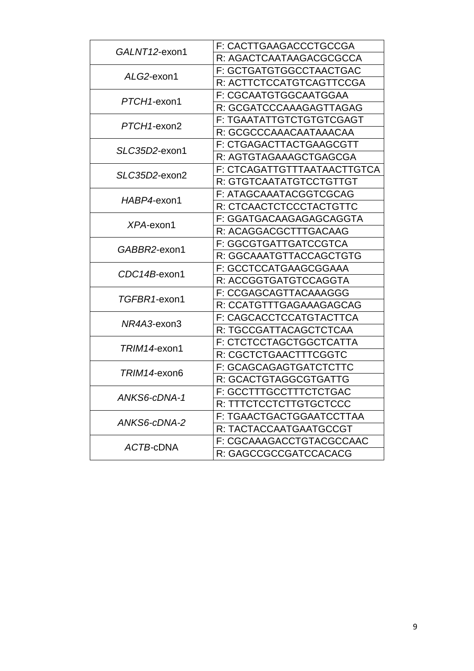| GALNT12-exon1 | F: CACTTGAAGACCCTGCCGA      |  |  |  |  |
|---------------|-----------------------------|--|--|--|--|
|               | R: AGACTCAATAAGACGCGCCA     |  |  |  |  |
|               | F: GCTGATGTGGCCTAACTGAC     |  |  |  |  |
| ALG2-exon1    | R: ACTTCTCCATGTCAGTTCCGA    |  |  |  |  |
|               | F: CGCAATGTGGCAATGGAA       |  |  |  |  |
| PTCH1-exon1   | R: GCGATCCCAAAGAGTTAGAG     |  |  |  |  |
| PTCH1-exon2   | F: TGAATATTGTCTGTGTCGAGT    |  |  |  |  |
|               | R: GCGCCCAAACAATAAACAA      |  |  |  |  |
| SLC35D2-exon1 | F: CTGAGACTTACTGAAGCGTT     |  |  |  |  |
|               | R: AGTGTAGAAAGCTGAGCGA      |  |  |  |  |
| SLC35D2-exon2 | F: CTCAGATTGTTTAATAACTTGTCA |  |  |  |  |
|               | R: GTGTCAATATGTCCTGTTGT     |  |  |  |  |
| HABP4-exon1   | F: ATAGCAAATACGGTCGCAG      |  |  |  |  |
|               | R: CTCAACTCTCCCTACTGTTC     |  |  |  |  |
| XPA-exon1     | F: GGATGACAAGAGAGCAGGTA     |  |  |  |  |
|               | R: ACAGGACGCTTTGACAAG       |  |  |  |  |
| GABBR2-exon1  | F: GGCGTGATTGATCCGTCA       |  |  |  |  |
|               | R: GGCAAATGTTACCAGCTGTG     |  |  |  |  |
| CDC14B-exon1  | F: GCCTCCATGAAGCGGAAA       |  |  |  |  |
|               | R: ACCGGTGATGTCCAGGTA       |  |  |  |  |
| TGFBR1-exon1  | F: CCGAGCAGTTACAAAGGG       |  |  |  |  |
|               | R: CCATGTTTGAGAAAGAGCAG     |  |  |  |  |
| NR4A3-exon3   | F: CAGCACCTCCATGTACTTCA     |  |  |  |  |
|               | R: TGCCGATTACAGCTCTCAA      |  |  |  |  |
| TRIM14-exon1  | F: CTCTCCTAGCTGGCTCATTA     |  |  |  |  |
|               | R: CGCTCTGAACTTTCGGTC       |  |  |  |  |
| TRIM14-exon6  | F: GCAGCAGAGTGATCTCTTC      |  |  |  |  |
|               | R: GCACTGTAGGCGTGATTG       |  |  |  |  |
| ANKS6-cDNA-1  | F: GCCTTTGCCTTTCTCTGAC      |  |  |  |  |
|               | R: TTTCTCCTCTTGTGCTCCC      |  |  |  |  |
| ANKS6-cDNA-2  | F: TGAACTGACTGGAATCCTTAA    |  |  |  |  |
|               | R: TACTACCAATGAATGCCGT      |  |  |  |  |
| ACTB-cDNA     | F: CGCAAAGACCTGTACGCCAAC    |  |  |  |  |
|               | R: GAGCCGCCGATCCACACG       |  |  |  |  |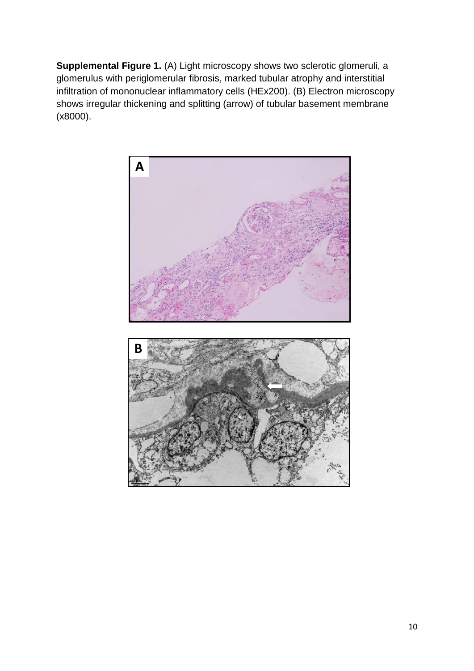**Supplemental Figure 1.** (A) Light microscopy shows two sclerotic glomeruli, a glomerulus with periglomerular fibrosis, marked tubular atrophy and interstitial infiltration of mononuclear inflammatory cells (HEx200). (B) Electron microscopy shows irregular thickening and splitting (arrow) of tubular basement membrane (x8000).

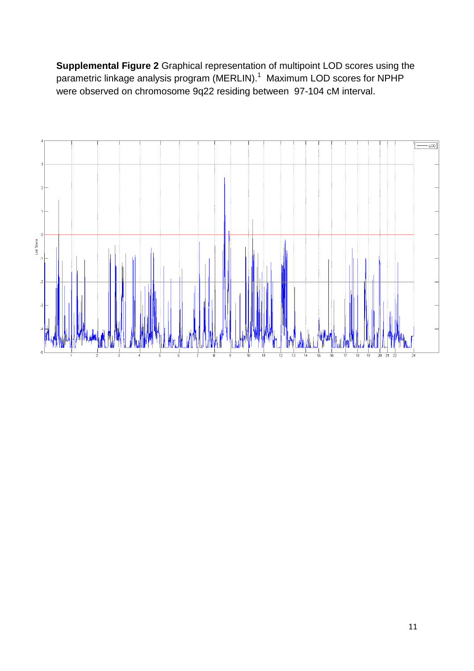**Supplemental Figure 2** Graphical representation of multipoint LOD scores using the parametric linkage analysis program (MERLIN).<sup>1</sup> Maximum LOD scores for NPHP were observed on chromosome 9q22 residing between 97-104 cM interval.

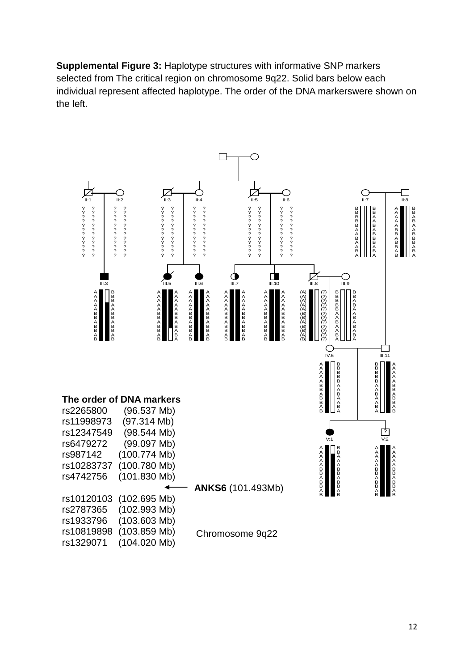**Supplemental Figure 3:** Haplotype structures with informative SNP markers selected from The critical region on chromosome 9q22. Solid bars below each individual represent affected haplotype. The order of the DNA markerswere shown on the left.

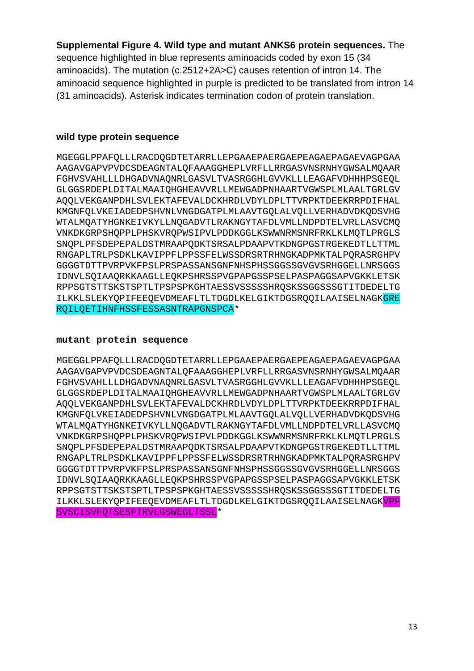# **Supplemental Figure 4. Wild type and mutant ANKS6 protein sequences.** The

sequence highlighted in blue represents aminoacids coded by exon 15 (34 aminoacids). The mutation (c.2512+2A>C) causes retention of intron 14. The aminoacid sequence highlighted in purple is predicted to be translated from intron 14 (31 aminoacids). Asterisk indicates termination codon of protein translation.

### **wild type protein sequence**

MGEGGLPPAFQLLLRACDQGDTETARRLLEPGAAEPAERGAEPEAGAEPAGAEVAGPGAA AAGAVGAPVPVDCSDEAGNTALQFAAAGGHEPLVRFLLRRGASVNSRNHYGWSALMQAAR FGHVSVAHLLLDHGADVNAQNRLGASVLTVASRGGHLGVVKLLLEAGAFVDHHHPSGEQL GLGGSRDEPLDITALMAAIQHGHEAVVRLLMEWGADPNHAARTVGWSPLMLAALTGRLGV AQQLVEKGANPDHLSVLEKTAFEVALDCKHRDLVDYLDPLTTVRPKTDEEKRRPDIFHAL KMGNFQLVKEIADEDPSHVNLVNGDGATPLMLAAVTGQLALVQLLVERHADVDKQDSVHG WTALMQATYHGNKEIVKYLLNQGADVTLRAKNGYTAFDLVMLLNDPDTELVRLLASVCMQ VNKDKGRPSHQPPLPHSKVRQPWSIPVLPDDKGGLKSWWNRMSNRFRKLKLMQTLPRGLS SNQPLPFSDEPEPALDSTMRAAPQDKTSRSALPDAAPVTKDNGPGSTRGEKEDTLLTTML RNGAPLTRLPSDKLKAVIPPFLPPSSFELWSSDRSRTRHNGKADPMKTALPQRASRGHPV GGGGTDTTPVRPVKFPSLPRSPASSANSGNFNHSPHSSGGSSGVGVSRHGGELLNRSGGS IDNVLSQIAAQRKKAAGLLEQKPSHRSSPVGPAPGSSPSELPASPAGGSAPVGKKLETSK RPPSGTSTTSKSTSPTLTPSPSPKGHTAESSVSSSSSHRQSKSSGGSSSGTITDEDELTG ILKKLSLEKYQPIFEEQEVDMEAFLTLTDGDLKELGIKTDGSRQQILAAISELNAGKGRE RQILQETIHNFHSSFESSASNTRAPGNSPCA\*

#### **mutant protein sequence**

MGEGGLPPAFQLLLRACDQGDTETARRLLEPGAAEPAERGAEPEAGAEPAGAEVAGPGAA AAGAVGAPVPVDCSDEAGNTALQFAAAGGHEPLVRFLLRRGASVNSRNHYGWSALMQAAR FGHVSVAHLLLDHGADVNAQNRLGASVLTVASRGGHLGVVKLLLEAGAFVDHHHPSGEQL GLGGSRDEPLDITALMAAIQHGHEAVVRLLMEWGADPNHAARTVGWSPLMLAALTGRLGV AQQLVEKGANPDHLSVLEKTAFEVALDCKHRDLVDYLDPLTTVRPKTDEEKRRPDIFHAL KMGNFQLVKEIADEDPSHVNLVNGDGATPLMLAAVTGQLALVQLLVERHADVDKQDSVHG WTALMQATYHGNKEIVKYLLNQGADVTLRAKNGYTAFDLVMLLNDPDTELVRLLASVCMQ VNKDKGRPSHQPPLPHSKVRQPWSIPVLPDDKGGLKSWWNRMSNRFRKLKLMQTLPRGLS SNQPLPFSDEPEPALDSTMRAAPQDKTSRSALPDAAPVTKDNGPGSTRGEKEDTLLTTML RNGAPLTRLPSDKLKAVIPPFLPPSSFELWSSDRSRTRHNGKADPMKTALPQRASRGHPV GGGGTDTTPVRPVKFPSLPRSPASSANSGNFNHSPHSSGGSSGVGVSRHGGELLNRSGGS IDNVLSQIAAQRKKAAGLLEQKPSHRSSPVGPAPGSSPSELPASPAGGSAPVGKKLETSK RPPSGTSTTSKSTSPTLTPSPSPKGHTAESSVSSSSSHRQSKSSGGSSSGTITDEDELTG ILKKLSLEKYQPIFEEQEVDMEAFLTLTDGDLKELGIKTDGSRQQILAAISELNAGKVPF SVSCISVFQTSESFTRVLGSWEGLTSSL\*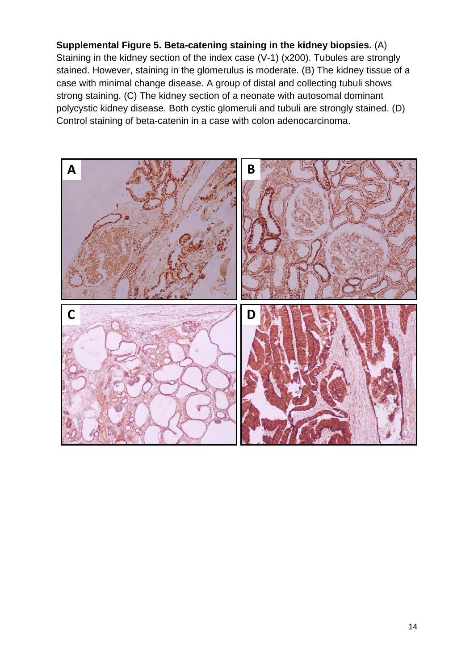**Supplemental Figure 5. Beta-catening staining in the kidney biopsies.** (A) Staining in the kidney section of the index case (V-1) (x200). Tubules are strongly stained. However, staining in the glomerulus is moderate. (B) The kidney tissue of a case with minimal change disease. A group of distal and collecting tubuli shows strong staining. (C) The kidney section of a neonate with autosomal dominant polycystic kidney disease. Both cystic glomeruli and tubuli are strongly stained. (D) Control staining of beta-catenin in a case with colon adenocarcinoma.

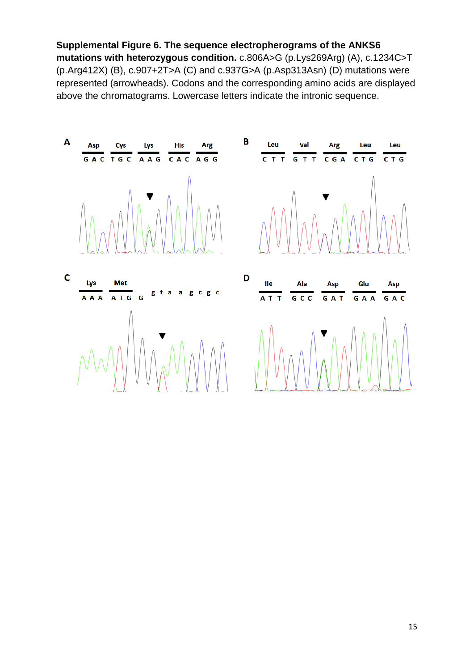**Supplemental Figure 6. The sequence electropherograms of the ANKS6 mutations with heterozygous condition.** c.806A>G (p.Lys269Arg) (A), c.1234C>T (p.Arg412X) (B), c.907+2T>A (C) and c.937G>A (p.Asp313Asn) (D) mutations were represented (arrowheads). Codons and the corresponding amino acids are displayed above the chromatograms. Lowercase letters indicate the intronic sequence.